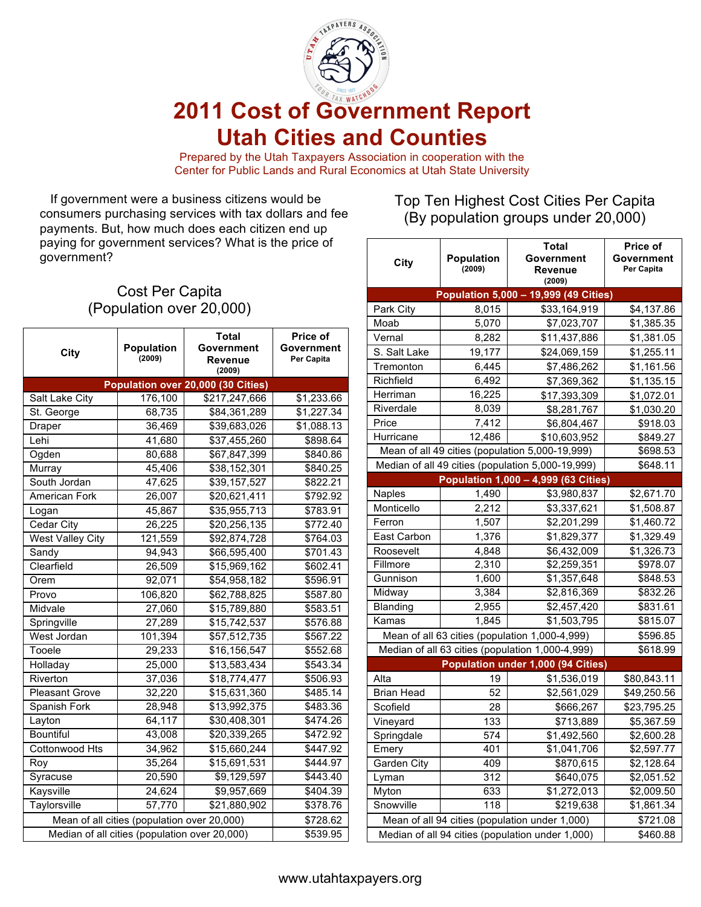

# **2011 Cost of Government Report Utah Cities and Counties**

Prepared by the Utah Taxpayers Association in cooperation with the Center for Public Lands and Rural Economics at Utah State University

 If government were a business citizens would be consumers purchasing services with tax dollars and fee payments. But, how much does each citizen end up paying for government services? What is the price of government?

# Cost Per Capita (Population over 20,000)

| City                                          | Population<br>(2009) | <b>Total</b><br>Government<br><b>Revenue</b><br>(2009) | <b>Price of</b><br>Government<br>Per Capita |  |  |
|-----------------------------------------------|----------------------|--------------------------------------------------------|---------------------------------------------|--|--|
| Population over 20,000 (30 Cities)            |                      |                                                        |                                             |  |  |
| Salt Lake City                                | 176,100              | \$217,247,666                                          | \$1,233.66                                  |  |  |
| St. George                                    | 68,735               | \$84,361,289                                           | \$1,227.34                                  |  |  |
| Draper                                        | 36,469               | \$39,683,026                                           | \$1,088.13                                  |  |  |
| Lehi                                          | 41,680               | \$37,455,260                                           | \$898.64                                    |  |  |
| Ogden                                         | 80,688               | \$67,847,399                                           | \$840.86                                    |  |  |
| Murray                                        | 45,406               | \$38,152,301                                           | \$840.25                                    |  |  |
| South Jordan                                  | 47,625               | \$39,157,527                                           | \$822.21                                    |  |  |
| <b>American Fork</b>                          | 26,007               | \$20,621,411                                           | \$792.92                                    |  |  |
| Logan                                         | 45,867               | \$35,955,713                                           | \$783.91                                    |  |  |
| Cedar City                                    | 26,225               | $\overline{$}20,256,135$                               | \$772.40                                    |  |  |
| <b>West Valley City</b>                       | 121,559              | \$92,874,728                                           | \$764.03                                    |  |  |
| Sandy                                         | 94,943               | \$66,595,400                                           | \$701.43                                    |  |  |
| Clearfield                                    | 26,509               | \$15,969,162                                           | \$602.41                                    |  |  |
| Orem                                          | 92,071               | \$54,958,182                                           | \$596.91                                    |  |  |
| Provo                                         | 106,820              | \$62,788,825                                           | \$587.80                                    |  |  |
| Midvale                                       | 27,060               | \$15,789,880                                           | \$583.51                                    |  |  |
| Springville                                   | 27,289               | \$15,742,537                                           | \$576.88                                    |  |  |
| West Jordan                                   | 101,394              | \$57,512,735                                           | \$567.22                                    |  |  |
| Tooele                                        | 29,233               | \$16,156,547                                           | \$552.68                                    |  |  |
| Holladay                                      | 25,000               | \$13,583,434                                           | \$543.34                                    |  |  |
| Riverton                                      | 37,036               | \$18,774,477                                           | \$506.93                                    |  |  |
| <b>Pleasant Grove</b>                         | 32,220               | \$15,631,360                                           | \$485.14                                    |  |  |
| Spanish Fork                                  | 28,948               | \$13,992,375                                           | \$483.36                                    |  |  |
| Layton                                        | 64,117               | \$30,408,301                                           | \$474.26                                    |  |  |
| <b>Bountiful</b>                              | 43,008               | \$20,339,265                                           | \$472.92                                    |  |  |
| Cottonwood Hts                                | 34,962               | \$15,660,244                                           | \$447.92                                    |  |  |
| Roy                                           | 35,264               | \$15,691,531                                           | \$444.97                                    |  |  |
| Syracuse                                      | 20,590               | \$9,129,597                                            | \$443.40                                    |  |  |
| Kaysville                                     | 24,624               | \$9,957,669                                            | \$404.39                                    |  |  |
| Taylorsville                                  | 57,770               | \$21,880,902                                           | \$378.76                                    |  |  |
| Mean of all cities (population over 20,000)   |                      |                                                        | \$728.62                                    |  |  |
| Median of all cities (population over 20,000) |                      |                                                        | \$539.95                                    |  |  |

# Top Ten Highest Cost Cities Per Capita (By population groups under 20,000)

| City                                             | <b>Population</b><br>(2009) | <b>Total</b><br>Government<br>Revenue<br>(2009)   | Price of<br>Government<br>Per Capita |  |  |  |
|--------------------------------------------------|-----------------------------|---------------------------------------------------|--------------------------------------|--|--|--|
| Population 5,000 - 19,999 (49 Cities)            |                             |                                                   |                                      |  |  |  |
| Park City                                        | 8,015                       | \$33,164,919                                      | \$4,137.86                           |  |  |  |
| Moab                                             | 5,070                       | \$7,023,707                                       | \$1,385.35                           |  |  |  |
| Vernal                                           | 8,282                       | \$11,437,886                                      | \$1,381.05                           |  |  |  |
| S. Salt Lake                                     | 19,177                      | \$24,069,159                                      | \$1,255.11                           |  |  |  |
| Tremonton                                        | 6,445                       | \$7,486,262                                       | \$1,161.56                           |  |  |  |
| Richfield                                        | 6,492                       | \$7,369,362                                       | \$1,135.15                           |  |  |  |
| Herriman                                         | 16,225                      | \$17,393,309                                      | \$1,072.01                           |  |  |  |
| Riverdale                                        | 8,039                       | \$8,281,767                                       | \$1,030.20                           |  |  |  |
| Price                                            | 7,412                       | \$6,804,467                                       | \$918.03                             |  |  |  |
| Hurricane                                        | 12,486                      | \$10,603,952                                      | \$849.27                             |  |  |  |
|                                                  |                             | Mean of all 49 cities (population 5,000-19,999)   | \$698.53                             |  |  |  |
|                                                  |                             | Median of all 49 cities (population 5,000-19,999) | \$648.11                             |  |  |  |
|                                                  |                             | Population 1,000 - 4,999 (63 Cities)              |                                      |  |  |  |
| Naples                                           | 1,490                       | \$3,980,837                                       | \$2,671.70                           |  |  |  |
| Monticello                                       | 2,212                       | \$3,337,621                                       | \$1,508.87                           |  |  |  |
| Ferron                                           | 1,507                       | \$2,201,299                                       | \$1,460.72                           |  |  |  |
| East Carbon                                      | 1,376                       | \$1,829,377                                       | \$1,329.49                           |  |  |  |
| Roosevelt                                        | 4,848                       | \$6,432,009                                       | \$1,326.73                           |  |  |  |
| Fillmore                                         | 2,310                       | \$2,259,351                                       | \$978.07                             |  |  |  |
| Gunnison                                         | 1,600                       | \$1,357,648                                       | \$848.53                             |  |  |  |
| Midway                                           | 3,384                       | \$2,816,369                                       | \$832.26                             |  |  |  |
| <b>Blanding</b>                                  | 2,955                       | \$2,457,420                                       | \$831.61                             |  |  |  |
| Kamas                                            | 1,845                       | \$1,503,795                                       | \$815.07                             |  |  |  |
|                                                  |                             | Mean of all 63 cities (population 1,000-4,999)    | \$596.85                             |  |  |  |
|                                                  |                             | Median of all 63 cities (population 1,000-4,999)  | \$618.99                             |  |  |  |
| Population under 1,000 (94 Cities)               |                             |                                                   |                                      |  |  |  |
| Alta                                             | 19                          | \$1,536,019                                       | \$80,843.11                          |  |  |  |
| <b>Brian Head</b>                                | 52                          | \$2,561,029                                       | \$49,250.56                          |  |  |  |
| Scofield                                         | 28                          | \$666,267                                         | \$23,795.25                          |  |  |  |
| Vineyard                                         | 133                         | \$713,889                                         | \$5,367.59                           |  |  |  |
| Springdale                                       | 574                         | \$1,492,560                                       | \$2,600.28                           |  |  |  |
| ⊨mery                                            | 401                         | \$1,041,706                                       | \$2,597.77                           |  |  |  |
| Garden City                                      | 409                         | \$870,615                                         | \$2,128.64                           |  |  |  |
| Lyman                                            | 312                         | \$640,075                                         | \$2,051.52                           |  |  |  |
| Myton                                            | 633                         | \$1,272,013                                       | \$2,009.50                           |  |  |  |
| Snowville                                        | 118                         | \$219,638                                         | \$1,861.34                           |  |  |  |
| Mean of all 94 cities (population under 1,000)   |                             |                                                   | \$721.08                             |  |  |  |
| Median of all 94 cities (population under 1,000) |                             |                                                   | \$460.88                             |  |  |  |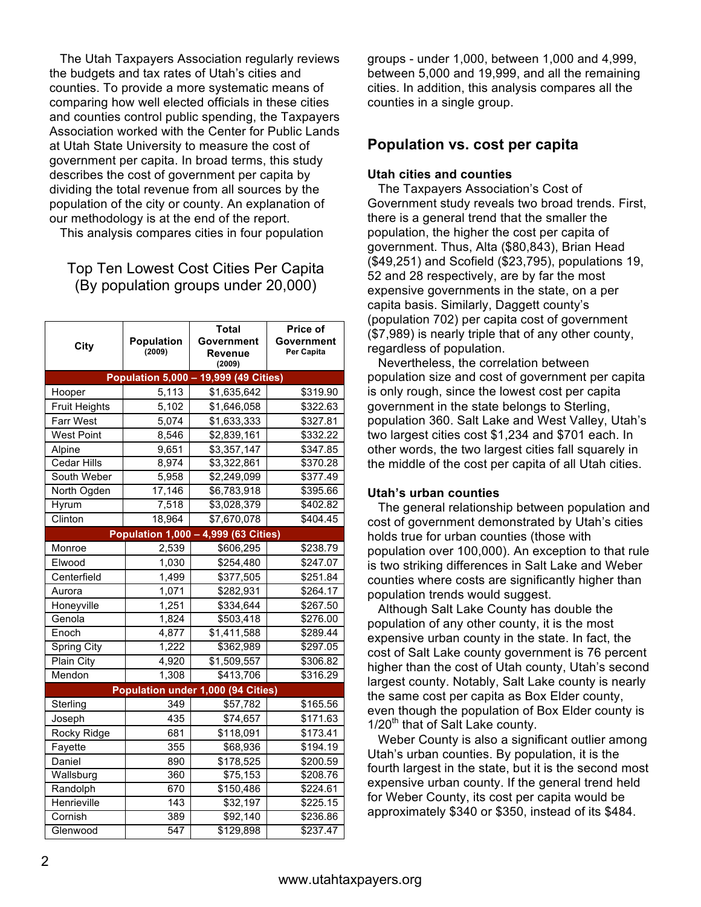The Utah Taxpayers Association regularly reviews the budgets and tax rates of Utah's cities and counties. To provide a more systematic means of comparing how well elected officials in these cities and counties control public spending, the Taxpayers Association worked with the Center for Public Lands at Utah State University to measure the cost of government per capita. In broad terms, this study describes the cost of government per capita by dividing the total revenue from all sources by the population of the city or county. An explanation of our methodology is at the end of the report.

This analysis compares cities in four population

## Top Ten Lowest Cost Cities Per Capita (By population groups under 20,000)

| City                 | <b>Population</b><br>(2009)          | Total<br>Government<br>Revenue<br>(2009) | <b>Price of</b><br>Government<br>Per Capita |
|----------------------|--------------------------------------|------------------------------------------|---------------------------------------------|
|                      |                                      | Population 5,000 - 19,999 (49 Cities)    |                                             |
| Hooper               | 5,113                                | \$1,635,642                              | \$319.90                                    |
| <b>Fruit Heights</b> | 5,102                                | \$1,646,058                              | \$322.63                                    |
| <b>Farr West</b>     | 5,074                                | \$1,633,333                              | \$327.81                                    |
| <b>West Point</b>    | 8,546                                | \$2,839,161                              | \$332.22                                    |
| Alpine               | 9,651                                | \$3,357,147                              | \$347.85                                    |
| <b>Cedar Hills</b>   | 8,974                                | \$3,322,861                              | \$370.28                                    |
| South Weber          | 5,958                                | \$2,249,099                              | \$377.49                                    |
| North Ogden          | 17,146                               | \$6,783,918                              | \$395.66                                    |
| Hyrum                | 7,518                                | \$3,028,379                              | \$402.82                                    |
| Clinton              | 18,964                               | \$7,670,078                              | \$404.45                                    |
|                      | Population 1,000 - 4,999 (63 Cities) |                                          |                                             |
| Monroe               | 2,539                                | \$606,295                                | \$238.79                                    |
| Elwood               | 1,030                                | \$254,480                                | \$247.07                                    |
| Centerfield          | 1,499                                | \$377,505                                | \$251.84                                    |
| Aurora               | 1,071                                | \$282,931                                | \$264.17                                    |
| Honeyville           | 1,251                                | \$334,644                                | \$267.50                                    |
| Genola               | 1,824                                | \$503,418                                | \$276.00                                    |
| Enoch                | 4,877                                | \$1,411,588                              | \$289.44                                    |
| <b>Spring City</b>   | 1,222                                | \$362,989                                | \$297.05                                    |
| Plain City           | 4,920                                | \$1,509,557                              | \$306.82                                    |
| Mendon               | 1,308                                | \$413,706                                | \$316.29                                    |
|                      |                                      | Population under 1,000 (94 Cities)       |                                             |
| Sterling             | 349                                  | \$57,782                                 | \$165.56                                    |
| Joseph               | 435                                  | \$74,657                                 | \$171.63                                    |
| Rocky Ridge          | 681                                  | \$118,091                                | \$173.41                                    |
| Fayette              | 355                                  | \$68,936                                 | \$194.19                                    |
| Daniel               | 890                                  | \$178,525                                | \$200.59                                    |
| Wallsburg            | 360                                  | $\overline{$}75,153$                     | \$208.76                                    |
| Randolph             | 670                                  | \$150,486                                | \$224.61                                    |
| Henrieville          | 143                                  | \$32,197                                 | \$225.15                                    |
| Cornish              | 389                                  | \$92,140                                 | \$236.86                                    |
| Glenwood             | 547                                  | $\overline{$}129,898$                    | \$237.47                                    |

groups - under 1,000, between 1,000 and 4,999, between 5,000 and 19,999, and all the remaining cities. In addition, this analysis compares all the counties in a single group.

#### **Population vs. cost per capita**

#### **Utah cities and counties**

The Taxpayers Association's Cost of Government study reveals two broad trends. First, there is a general trend that the smaller the population, the higher the cost per capita of government. Thus, Alta (\$80,843), Brian Head (\$49,251) and Scofield (\$23,795), populations 19, 52 and 28 respectively, are by far the most expensive governments in the state, on a per capita basis. Similarly, Daggett county's (population 702) per capita cost of government (\$7,989) is nearly triple that of any other county, regardless of population.

Nevertheless, the correlation between population size and cost of government per capita is only rough, since the lowest cost per capita government in the state belongs to Sterling, population 360. Salt Lake and West Valley, Utah's two largest cities cost \$1,234 and \$701 each. In other words, the two largest cities fall squarely in the middle of the cost per capita of all Utah cities.

#### **Utah's urban counties**

The general relationship between population and cost of government demonstrated by Utah's cities holds true for urban counties (those with population over 100,000). An exception to that rule is two striking differences in Salt Lake and Weber counties where costs are significantly higher than population trends would suggest.

 Although Salt Lake County has double the population of any other county, it is the most expensive urban county in the state. In fact, the cost of Salt Lake county government is 76 percent higher than the cost of Utah county, Utah's second largest county. Notably, Salt Lake county is nearly the same cost per capita as Box Elder county, even though the population of Box Elder county is  $1/20<sup>th</sup>$  that of Salt Lake county.

Weber County is also a significant outlier among Utah's urban counties. By population, it is the fourth largest in the state, but it is the second most expensive urban county. If the general trend held for Weber County, its cost per capita would be approximately \$340 or \$350, instead of its \$484.